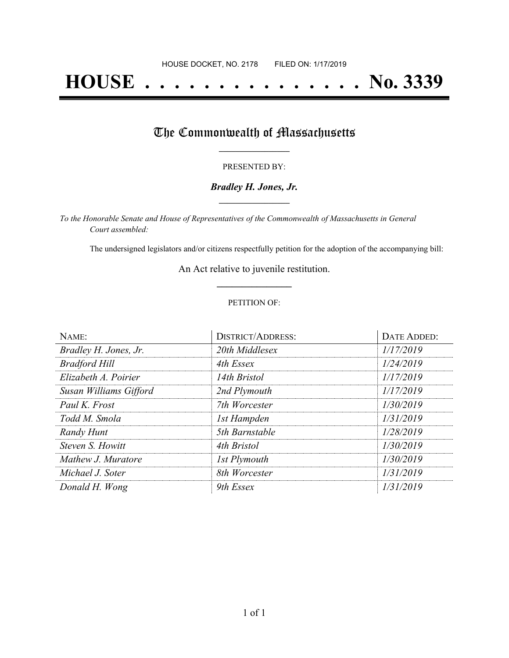# **HOUSE . . . . . . . . . . . . . . . No. 3339**

## The Commonwealth of Massachusetts

#### PRESENTED BY:

#### *Bradley H. Jones, Jr.* **\_\_\_\_\_\_\_\_\_\_\_\_\_\_\_\_\_**

*To the Honorable Senate and House of Representatives of the Commonwealth of Massachusetts in General Court assembled:*

The undersigned legislators and/or citizens respectfully petition for the adoption of the accompanying bill:

An Act relative to juvenile restitution. **\_\_\_\_\_\_\_\_\_\_\_\_\_\_\_**

#### PETITION OF:

| NAME:                  | <b>DISTRICT/ADDRESS:</b> | DATE ADDED: |
|------------------------|--------------------------|-------------|
| Bradley H. Jones, Jr.  | 20th Middlesex           | 1/17/2019   |
| <b>Bradford Hill</b>   | 4th Essex                | 1/24/2019   |
| Elizabeth A. Poirier   | 14th Bristol             | 1/17/2019   |
| Susan Williams Gifford | 2nd Plymouth             | 1/17/2019   |
| Paul K. Frost          | 7th Worcester            | 1/30/2019   |
| Todd M. Smola          | 1st Hampden              | 1/31/2019   |
| Randy Hunt             | 5th Barnstable           | 1/28/2019   |
| Steven S. Howitt       | 4th Bristol              | 1/30/2019   |
| Mathew J. Muratore     | <b>1st Plymouth</b>      | 1/30/2019   |
| Michael J. Soter       | 8th Worcester            | 1/31/2019   |
| Donald H. Wong         | 9th Essex                | 1/31/2019   |